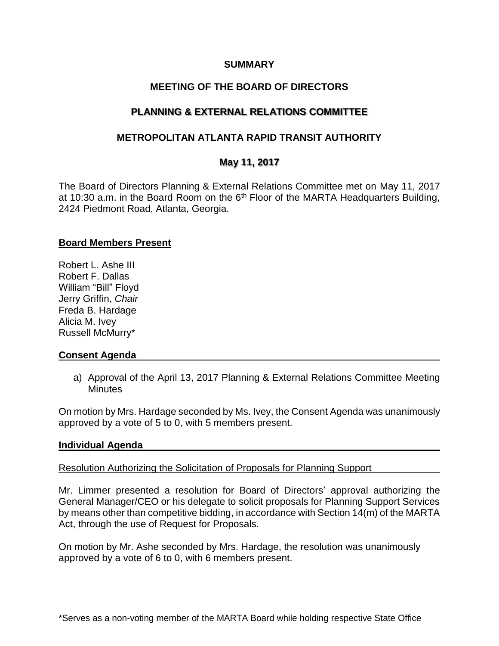### **SUMMARY**

# **MEETING OF THE BOARD OF DIRECTORS**

# **PLANNING & EXTERNAL RELATIONS COMMITTEE**

# **METROPOLITAN ATLANTA RAPID TRANSIT AUTHORITY**

# **May 11, 2017**

The Board of Directors Planning & External Relations Committee met on May 11, 2017 at 10:30 a.m. in the Board Room on the  $6<sup>th</sup>$  Floor of the MARTA Headquarters Building, 2424 Piedmont Road, Atlanta, Georgia.

### **Board Members Present**

Robert L. Ashe III Robert F. Dallas William "Bill" Floyd Jerry Griffin, *Chair* Freda B. Hardage Alicia M. Ivey Russell McMurry\*

### **Consent Agenda**

a) Approval of the April 13, 2017 Planning & External Relations Committee Meeting **Minutes** 

On motion by Mrs. Hardage seconded by Ms. Ivey, the Consent Agenda was unanimously approved by a vote of 5 to 0, with 5 members present.

### **Individual Agenda**

## Resolution Authorizing the Solicitation of Proposals for Planning Support

Mr. Limmer presented a resolution for Board of Directors' approval authorizing the General Manager/CEO or his delegate to solicit proposals for Planning Support Services by means other than competitive bidding, in accordance with Section 14(m) of the MARTA Act, through the use of Request for Proposals.

On motion by Mr. Ashe seconded by Mrs. Hardage, the resolution was unanimously approved by a vote of 6 to 0, with 6 members present.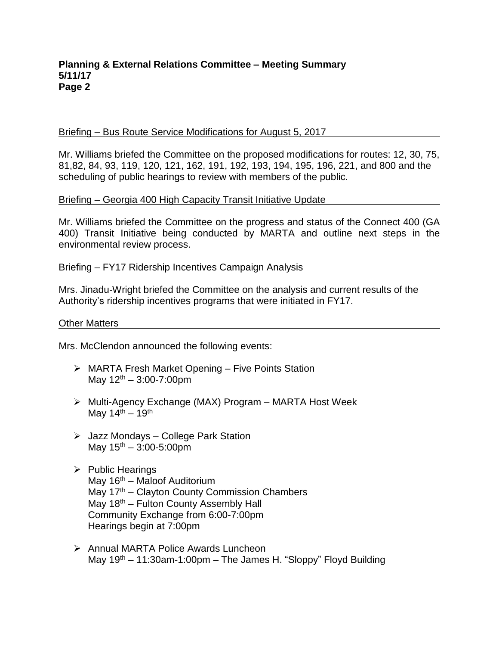### **Planning & External Relations Committee – Meeting Summary 5/11/17 Page 2**

### Briefing – Bus Route Service Modifications for August 5, 2017

Mr. Williams briefed the Committee on the proposed modifications for routes: 12, 30, 75, 81,82, 84, 93, 119, 120, 121, 162, 191, 192, 193, 194, 195, 196, 221, and 800 and the scheduling of public hearings to review with members of the public.

### Briefing – Georgia 400 High Capacity Transit Initiative Update

Mr. Williams briefed the Committee on the progress and status of the Connect 400 (GA 400) Transit Initiative being conducted by MARTA and outline next steps in the environmental review process.

### Briefing – FY17 Ridership Incentives Campaign Analysis

Mrs. Jinadu-Wright briefed the Committee on the analysis and current results of the Authority's ridership incentives programs that were initiated in FY17.

#### Other Matters

Mrs. McClendon announced the following events:

- ➢ MARTA Fresh Market Opening Five Points Station May  $12^{th} - 3:00 - 7:00$ pm
- ➢ Multi-Agency Exchange (MAX) Program MARTA Host Week May  $14^{th} - 19^{th}$
- ➢ Jazz Mondays College Park Station May  $15^{th} - 3:00 - 5:00$ pm
- ➢ Public Hearings May  $16<sup>th</sup>$  – Maloof Auditorium May  $17<sup>th</sup>$  – Clayton County Commission Chambers May  $18<sup>th</sup>$  – Fulton County Assembly Hall Community Exchange from 6:00-7:00pm Hearings begin at 7:00pm
- ➢ Annual MARTA Police Awards Luncheon May 19<sup>th</sup> – 11:30am-1:00pm – The James H. "Sloppy" Floyd Building